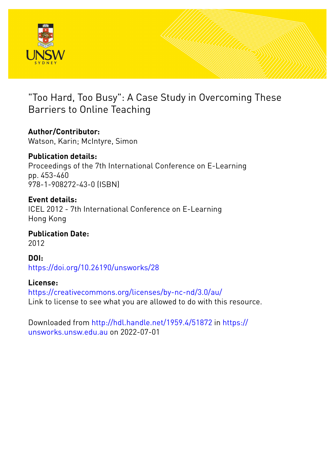

"Too Hard, Too Busy": A Case Study in Overcoming These Barriers to Online Teaching

# **Author/Contributor:**

Watson, Karin; McIntyre, Simon

**Publication details:** Proceedings of the 7th International Conference on E-Learning pp. 453-460 978-1-908272-43-0 (ISBN)

## **Event details:**

ICEL 2012 - 7th International Conference on E-Learning Hong Kong

**Publication Date:** 2012

**DOI:** [https://doi.org/10.26190/unsworks/28](http://dx.doi.org/https://doi.org/10.26190/unsworks/28)

## **License:**

<https://creativecommons.org/licenses/by-nc-nd/3.0/au/> Link to license to see what you are allowed to do with this resource.

Downloaded from <http://hdl.handle.net/1959.4/51872> in [https://](https://unsworks.unsw.edu.au) [unsworks.unsw.edu.au](https://unsworks.unsw.edu.au) on 2022-07-01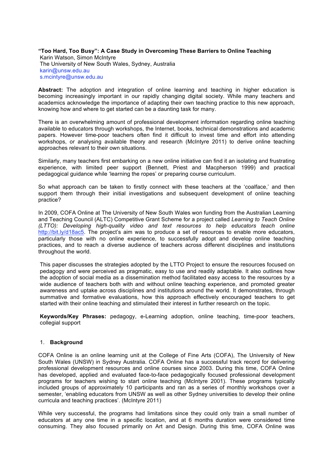## **"Too Hard, Too Busy": A Case Study in Overcoming These Barriers to Online Teaching** Karin Watson, Simon McIntyre The University of New South Wales, Sydney, Australia karin@unsw.edu.au s.mcintyre@unsw.edu.au

**Abstract:** The adoption and integration of online learning and teaching in higher education is becoming increasingly important in our rapidly changing digital society. While many teachers and academics acknowledge the importance of adapting their own teaching practice to this new approach, knowing how and where to get started can be a daunting task for many.

There is an overwhelming amount of professional development information regarding online teaching available to educators through workshops, the Internet, books, technical demonstrations and academic papers. However time-poor teachers often find it difficult to invest time and effort into attending workshops, or analysing available theory and research (McIntyre 2011) to derive online teaching approaches relevant to their own situations.

Similarly, many teachers first embarking on a new online initiative can find it an isolating and frustrating experience, with limited peer support (Bennett, Priest and Macpherson 1999) and practical pedagogical guidance while 'learning the ropes' or preparing course curriculum.

So what approach can be taken to firstly connect with these teachers at the 'coalface,' and then support them through their initial investigations and subsequent development of online teaching practice?

In 2009, COFA Online at The University of New South Wales won funding from the Australian Learning and Teaching Council (ALTC) Competitive Grant Scheme for a project called *Learning to Teach Online (LTTO): Developing high-quality video and text resources to help educators teach online* http://bit.ly/d18ac5. The project's aim was to produce a set of resources to enable more educators, particularly those with no online experience, to successfully adopt and develop online teaching practices, and to reach a diverse audience of teachers across different disciplines and institutions throughout the world.

This paper discusses the strategies adopted by the LTTO Project to ensure the resources focused on pedagogy and were perceived as pragmatic, easy to use and readily adaptable. It also outlines how the adoption of social media as a dissemination method facilitated easy access to the resources by a wide audience of teachers both with and without online teaching experience, and promoted greater awareness and uptake across disciplines and institutions around the world. It demonstrates, through summative and formative evaluations, how this approach effectively encouraged teachers to get started with their online teaching and stimulated their interest in further research on the topic.

**Keywords/Key Phrases:** pedagogy, e-Learning adoption, online teaching, time-poor teachers, collegial support

## 1. **Background**

COFA Online is an online learning unit at the College of Fine Arts (COFA), The University of New South Wales (UNSW) in Sydney Australia. COFA Online has a successful track record for delivering professional development resources and online courses since 2003. During this time, COFA Online has developed, applied and evaluated face-to-face pedagogically focused professional development programs for teachers wishing to start online teaching (McIntyre 2001). These programs typically included groups of approximately 10 participants and ran as a series of monthly workshops over a semester, 'enabling educators from UNSW as well as other Sydney universities to develop their online curricula and teaching practices'. (McIntyre 2011)

While very successful, the programs had limitations since they could only train a small number of educators at any one time in a specific location, and at 6 months duration were considered time consuming. They also focused primarily on Art and Design. During this time, COFA Online was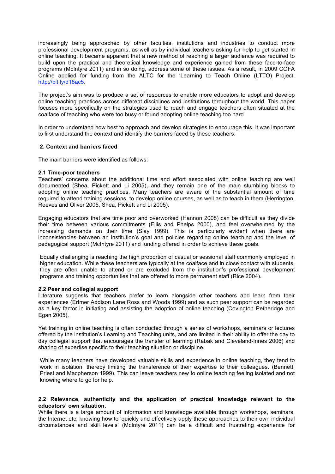increasingly being approached by other faculties, institutions and industries to conduct more professional development programs, as well as by individual teachers asking for help to get started in online teaching. It became apparent that a new method of reaching a larger audience was required to build upon the practical and theoretical knowledge and experience gained from these face-to-face programs (McIntyre 2011) and in so doing, address some of these issues. As a result, in 2009 COFA Online applied for funding from the ALTC for the 'Learning to Teach Online (LTTO) Project. http://bit.ly/d18ac5.

The project's aim was to produce a set of resources to enable more educators to adopt and develop online teaching practices across different disciplines and institutions throughout the world. This paper focuses more specifically on the strategies used to reach and engage teachers often situated at the coalface of teaching who were too busy or found adopting online teaching too hard.

In order to understand how best to approach and develop strategies to encourage this, it was important to first understand the context and identify the barriers faced by these teachers.

## **2. Context and barriers faced**

The main barriers were identified as follows:

#### **2.1 Time-poor teachers**

Teachers' concerns about the additional time and effort associated with online teaching are well documented (Shea, Pickett and Li 2005), and they remain one of the main stumbling blocks to adopting online teaching practices. Many teachers are aware of the substantial amount of time required to attend training sessions, to develop online courses, as well as to teach in them (Herrington, Reeves and Oliver 2005, Shea, Pickett and Li 2005).

Engaging educators that are time poor and overworked (Hannon 2008) can be difficult as they divide their time between various commitments (Ellis and Phelps 2000), and feel overwhelmed by the increasing demands on their time (Slay 1999). This is particularly evident when there are inconsistencies between an institution's goal and policies regarding online teaching and the level of pedagogical support (McIntyre 2011) and funding offered in order to achieve these goals.

Equally challenging is reaching the high proportion of casual or sessional staff commonly employed in higher education. While these teachers are typically at the coalface and in close contact with students, they are often unable to attend or are excluded from the institution's professional development programs and training opportunities that are offered to more permanent staff (Rice 2004).

## **2.2 Peer and collegial support**

Literature suggests that teachers prefer to learn alongside other teachers and learn from their experiences (Ertmer Addison Lane Ross and Woods 1999) and as such peer support can be regarded as a key factor in initiating and assisting the adoption of online teaching (Covington Petheridge and Egan 2005).

Yet training in online teaching is often conducted through a series of workshops, seminars or lectures offered by the institution's Learning and Teaching units, and are limited in their ability to offer the day to day collegial support that encourages the transfer of learning (Rabak and Cleveland-Innes 2006) and sharing of expertise specific to their teaching situation or discipline.

While many teachers have developed valuable skills and experience in online teaching, they tend to work in isolation, thereby limiting the transference of their expertise to their colleagues. (Bennett, Priest and Macpherson 1999). This can leave teachers new to online teaching feeling isolated and not knowing where to go for help.

## **2.2 Relevance, authenticity and the application of practical knowledge relevant to the educators' own situation.**

While there is a large amount of information and knowledge available through workshops, seminars, the Internet etc, knowing how to 'quickly and effectively apply these approaches to their own individual circumstances and skill levels' (McIntyre 2011) can be a difficult and frustrating experience for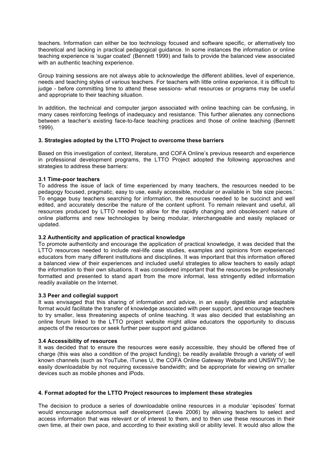teachers. Information can either be too technology focused and software specific, or alternatively too theoretical and lacking in practical pedagogical guidance. In some instances the information or online teaching experience is 'sugar coated' (Bennett 1999) and fails to provide the balanced view associated with an authentic teaching experience.

Group training sessions are not always able to acknowledge the different abilities, level of experience, needs and teaching styles of various teachers. For teachers with little online experience, it is difficult to judge - before committing time to attend these sessions- what resources or programs may be useful and appropriate to their teaching situation.

In addition, the technical and computer jargon associated with online teaching can be confusing, in many cases reinforcing feelings of inadequacy and resistance. This further alienates any connections between a teacher's existing face-to-face teaching practices and those of online teaching (Bennett 1999).

## **3. Strategies adopted by the LTTO Project to overcome these barriers**

Based on this investigation of context, literature, and COFA Online's previous research and experience in professional development programs, the LTTO Project adopted the following approaches and strategies to address these barriers:

## **3.1 Time-poor teachers**

To address the issue of lack of time experienced by many teachers, the resources needed to be pedagogy focused, pragmatic, easy to use, easily accessible, modular or available in 'bite size pieces.' To engage busy teachers searching for information, the resources needed to be succinct and well edited, and accurately describe the nature of the content upfront. To remain relevant and useful, all resources produced by LTTO needed to allow for the rapidly changing and obsolescent nature of online platforms and new technologies by being modular, interchangeable and easily replaced or updated.

## **3.2 Authenticity and application of practical knowledge**

To promote authenticity and encourage the application of practical knowledge, it was decided that the LTTO resources needed to include real-life case studies, examples and opinions from experienced educators from many different institutions and disciplines. It was important that this information offered a balanced view of their experiences and included useful strategies to allow teachers to easily adapt the information to their own situations. It was considered important that the resources be professionally formatted and presented to stand apart from the more informal, less stringently edited information readily available on the Internet.

## **3.3 Peer and collegial support**

It was envisaged that this sharing of information and advice, in an easily digestible and adaptable format would facilitate the transfer of knowledge associated with peer support, and encourage teachers to try smaller, less threatening aspects of online teaching. It was also decided that establishing an online forum linked to the LTTO project website might allow educators the opportunity to discuss aspects of the resources or seek further peer support and guidance.

## **3.4 Accessibility of resources**

It was decided that to ensure the resources were easily accessible, they should be offered free of charge (this was also a condition of the project funding); be readily available through a variety of well known channels (such as YouTube, iTunes U, the COFA Online Gateway Website and UNSWTV); be easily downloadable by not requiring excessive bandwidth; and be appropriate for viewing on smaller devices such as mobile phones and iPods.

## **4. Format adopted for the LTTO Project resources to implement these strategies**

The decision to produce a series of downloadable online resources in a modular 'episodes' format would encourage autonomous self development (Lewis 2006) by allowing teachers to select and access information that was relevant or of interest to them, and to then use these resources in their own time, at their own pace, and according to their existing skill or ability level. It would also allow the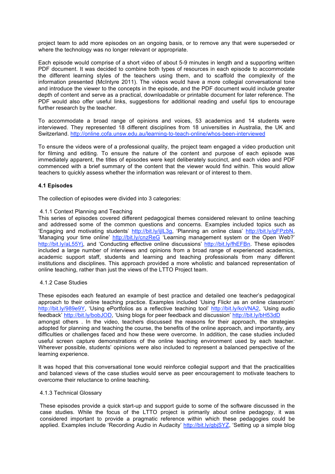project team to add more episodes on an ongoing basis, or to remove any that were superseded or where the technology was no longer relevant or appropriate.

Each episode would comprise of a short video of about 5-9 minutes in length and a supporting written PDF document. It was decided to combine both types of resources in each episode to accommodate the different learning styles of the teachers using them, and to scaffold the complexity of the information presented (McIntyre 2011). The videos would have a more collegial conversational tone and introduce the viewer to the concepts in the episode, and the PDF document would include greater depth of content and serve as a practical, downloadable or printable document for later reference. The PDF would also offer useful links, suggestions for additional reading and useful tips to encourage further research by the teacher.

To accommodate a broad range of opinions and voices, 53 academics and 14 students were interviewed. They represented 18 different disciplines from 18 universities in Australia, the UK and Switzerland. http://online.cofa.unsw.edu.au/learning-to-teach-online/whos-been-interviewed

To ensure the videos were of a professional quality, the project team engaged a video production unit for filming and editing. To ensure the nature of the content and purpose of each episode was immediately apparent, the titles of episodes were kept deliberately succinct, and each video and PDF commenced with a brief summary of the content that the viewer would find within. This would allow teachers to quickly assess whether the information was relevant or of interest to them.

## **4.1 Episodes**

The collection of episodes were divided into 3 categories:

## 4.1.1 Context Planning and Teaching

This series of episodes covered different pedagogical themes considered relevant to online teaching and addressed some of the common questions and concerns. Examples included topics such as 'Engaging and motivating students' http://bit.ly/ijlL3g, 'Planning an online class' http://bit.ly/gFPzbN, 'Managing your time online' http://bit.ly/cnzReG 'Learning management system or the Open Web?' http://bit.ly/aL55Yj, and 'Conducting effective online discussions' http://bit.ly/fhEFBn. These episodes included a large number of interviews and opinions from a broad range of experienced academics, academic support staff, students and learning and teaching professionals from many different institutions and disciplines. This approach provided a more wholistic and balanced representation of online teaching, rather than just the views of the LTTO Project team.

## 4.1.2 Case Studies

These episodes each featured an example of best practice and detailed one teacher's pedagogical approach to their online teaching practice. Examples included 'Using Flickr as an online classroom' http://bit.ly/989e9Y, 'Using ePortfolios as a reflective teaching tool' http://bit.ly/koVNA2, 'Using audio feedback' http://bit.ly/bobJOD, 'Using blogs for peer feedback and discussion' http://bit.ly/bH53dD amongst others . In the video, teachers discussed the reasons for their approach, the strategies adopted for planning and teaching the course, the benefits of the online approach, and importantly, any difficulties or challenges faced and how these were overcome. In addition, the case studies included useful screen capture demonstrations of the online teaching environment used by each teacher. Wherever possible, students' opinions were also included to represent a balanced perspective of the learning experience.

It was hoped that this conversational tone would reinforce collegial support and that the practicalities and balanced views of the case studies would serve as peer encouragement to motivate teachers to overcome their reluctance to online teaching.

#### 4.1.3 Technical Glossary

These episodes provide a quick start-up and support guide to some of the software discussed in the case studies. While the focus of the LTTO project is primarily about online pedagogy, it was considered important to provide a pragmatic reference within which these pedagogies could be applied. Examples include 'Recording Audio in Audacity' http://bit.ly/gbjSYZ, 'Setting up a simple blog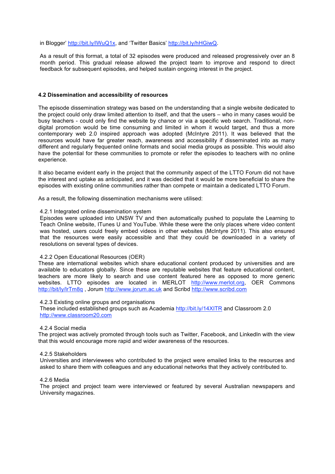#### in Blogger' http://bit.ly/lWuQ1x, and 'Twitter Basics' http://bit.ly/hHGiwQ.

As a result of this format, a total of 32 episodes were produced and released progressively over an 8 month period. This gradual release allowed the project team to improve and respond to direct feedback for subsequent episodes, and helped sustain ongoing interest in the project.

#### **4.2 Dissemination and accessibility of resources**

The episode dissemination strategy was based on the understanding that a single website dedicated to the project could only draw limited attention to itself, and that the users – who in many cases would be busy teachers - could only find the website by chance or via a specific web search. Traditional, nondigital promotion would be time consuming and limited in whom it would target, and thus a more contemporary web 2.0 inspired approach was adopted (McIntyre 2011). It was believed that the resources would have far greater reach, awareness and accessibility if disseminated into as many different and regularly frequented online formats and social media groups as possible. This would also have the potential for these communities to promote or refer the episodes to teachers with no online experience.

It also became evident early in the project that the community aspect of the LTTO Forum did not have the interest and uptake as anticipated, and it was decided that it would be more beneficial to share the episodes with existing online communities rather than compete or maintain a dedicated LTTO Forum.

As a result, the following dissemination mechanisms were utilised:

#### 4.2.1 Integrated online dissemination system

Episodes were uploaded into UNSW TV and then automatically pushed to populate the Learning to Teach Online website, ITunes U and YouTube. While these were the only places where video content was hosted, users could freely embed videos in other websites (McIntyre 2011). This also ensured that the resources were easily accessible and that they could be downloaded in a variety of resolutions on several types of devices.

## 4.2.2 Open Educational Resources (OER)

These are international websites which share educational content produced by universities and are available to educators globally. Since these are reputable websites that feature educational content, teachers are more likely to search and use content featured here as opposed to more generic websites. LTTO episodes are located in MERLOT http://www.merlot.org, OER Commons http://bit/ly/lrTm8q , Jorum http://www.jorum.ac.uk and Scribd http://www.scribd.com

#### 4.2.3 Existing online groups and organisations

These included established groups such as Academia http://bit.ly/14XITR and Classroom 2.0 http://www.classroom20.com

## 4.2.4 Social media

The project was actively promoted through tools such as Twitter, Facebook, and LinkedIn with the view that this would encourage more rapid and wider awareness of the resources.

#### 4.2.5 Stakeholders

Universities and interviewees who contributed to the project were emailed links to the resources and asked to share them with colleagues and any educational networks that they actively contributed to.

## 4.2.6 Media

The project and project team were interviewed or featured by several Australian newspapers and University magazines.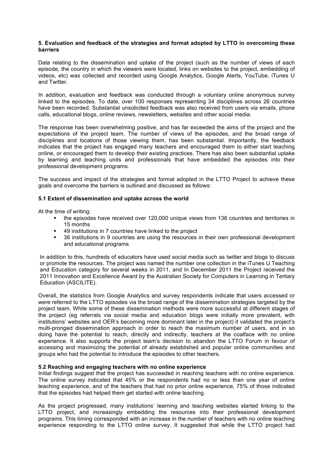## **5. Evaluation and feedback of the strategies and format adopted by LTTO in overcoming these barriers**

Data relating to the dissemination and uptake of the project (such as the number of views of each episode, the country in which the viewers were located, links on websites to the project, embedding of videos, etc) was collected and recorded using Google Analytics, Google Alerts, YouTube, iTunes U and Twitter.

In addition, evaluation and feedback was conducted through a voluntary online anonymous survey linked to the episodes. To date, over 100 responses representing 34 disciplines across 26 countries have been recorded. Substantial unsolicited feedback was also received from users via emails, phone calls, educational blogs, online reviews, newsletters, websites and other social media.

The response has been overwhelming positive, and has far exceeded the aims of the project and the expectations of the project team. The number of views of the episodes, and the broad range of disciplines and locations of those viewing them, has been substantial. Importantly, the feedback indicates that the project has engaged many teachers and encouraged them to either start teaching online, or encouraged them to develop their existing practices. There has also been substantial uptake by learning and teaching units and professionals that have embedded the episodes into their professional development programs.

The success and impact of the strategies and format adopted in the LTTO Project to achieve these goals and overcome the barriers is outlined and discussed as follows:

## **5.1 Extent of dissemination and uptake across the world**

At the time of writing:

- the episodes have received over 120,000 unique views from 136 countries and territories in 15 months
- 49 institutions in 7 countries have linked to the project
- 36 institutions in 9 countries are using the resources in their own professional development and educational programs

In addition to this, hundreds of educators have used social media such as twitter and blogs to discuss or promote the resources. The project was named the number one collection in the iTunes U Teaching and Education category for several weeks in 2011, and In December 2011 the Project received the 2011 Innovation and Excellence Award by the Australian Society for Computers in Learning in Tertiary Education (ASCILITE).

Overall, the statistics from Google Analytics and survey respondents indicate that users accessed or were referred to the LTTO episodes via the broad range of the dissemination strategies targeted by the project team. While some of these dissemination methods were more successful at different stages of the project (eg referrals via social media and education blogs were initially more prevalent, with institutions' websites and OER's becoming more dominant later in the project) it validated the project's multi-pronged dissemination approach in order to reach the maximum number of users, and in so doing have the potential to reach, directly and indirectly, teachers at the coalface with no online experience. It also supports the project team's decision to abandon the LTTO Forum in favour of accessing and maximizing the potential of already established and popular online communities and groups who had the potential to introduce the episodes to other teachers.

## **5.2 Reaching and engaging teachers with no online experience**

Initial findings suggest that the project has succeeded in reaching teachers with no online experience. The online survey indicated that 45% or the respondents had no or less than one year of online teaching experience, and of the teachers that had no prior online experience, 75% of those indicated that the episodes had helped them get started with online teaching.

As the project progressed, many institutions' learning and teaching websites started linking to the LTTO project, and increasingly embedding the resources into their professional development programs. This timing corresponded with an increase in the number of teachers with no online teaching experience responding to the LTTO online survey. It suggested that while the LTTO project had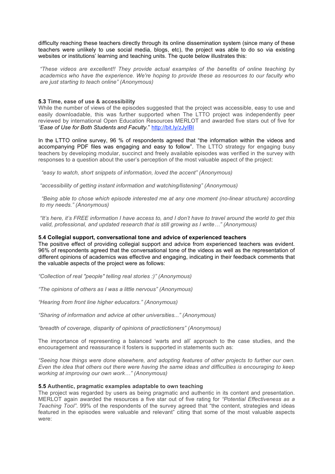difficulty reaching these teachers directly through its online dissemination system (since many of these teachers were unlikely to use social media, blogs, etc), the project was able to do so via existing websites or institutions' learning and teaching units. The quote below illustrates this:

*"These videos are excellent!! They provide actual examples of the benefits of online teaching by academics who have the experience. We're hoping to provide these as resources to our faculty who are just starting to teach online" (Anonymous)*

## **5.3 Time, ease of use & accessibility**

While the number of views of the episodes suggested that the project was accessible, easy to use and easily downloadable, this was further supported when The LTTO project was independently peer reviewed by international Open Education Resources MERLOT and awarded five stars out of five for *"Ease of Use for Both Students and Faculty.*" http://bit.ly/zJyIBI

In the LTTO online survey, 96 % of respondents agreed that "the information within the videos and accompanying PDF files was engaging and easy to follow". The LTTO strategy for engaging busy teachers by developing modular, succinct and freely available episodes was verified in the survey with responses to a question about the user's perception of the most valuable aspect of the project:

 *"easy to watch, short snippets of information, loved the accent" (Anonymous)*

*"accessibility of getting instant information and watching/listening" (Anonymous)*

 *"Being able to chose which episode interested me at any one moment (no-linear structure) according to my needs." (Anonymous)*

*"It's here, it's FREE information I have access to, and I don't have to travel around the world to get this valid, professional, and updated research that is still growing as I write…" (Anonymous)*

## **5.4 Collegial support, conversational tone and advice of experienced teachers**

The positive effect of providing collegial support and advice from experienced teachers was evident. 96% of respondents agreed that the conversational tone of the videos as well as the representation of different opinions of academics was effective and engaging, indicating in their feedback comments that the valuable aspects of the project were as follows:

*"Collection of real "people" telling real stories :)" (Anonymous)*

*"The opinions of others as I was a little nervous" (Anonymous)*

*"Hearing from front line higher educators." (Anonymous)*

*"Sharing of information and advice at other universities..." (Anonymous)*

*"breadth of coverage, disparity of opinions of practictioners" (Anonymous)*

The importance of representing a balanced 'warts and all' approach to the case studies, and the encouragement and reassurance it fosters is supported in statements such as:

*"Seeing how things were done elsewhere, and adopting features of other projects to further our own. Even the idea that others out there were having the same ideas and difficulties is encouraging to keep working at improving our own work…" (Anonymous)*

## **5.5 Authentic, pragmatic examples adaptable to own teaching**

The project was regarded by users as being pragmatic and authentic in its content and presentation. MERLOT again awarded the resources a five star out of five rating for *"Potential Effectiveness as a Teaching Tool"*. 99% of the respondents of the survey agreed that "the content, strategies and ideas featured in the episodes were valuable and relevant" citing that some of the most valuable aspects were: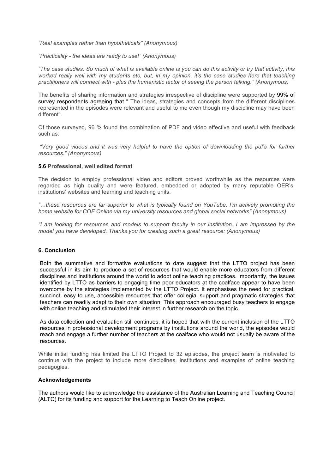*"Real examples rather than hypotheticals" (Anonymous)*

*"Practicality - the ideas are ready to use!" (Anonymous)*

*"The case studies. So much of what is available online is you can do this activity or try that activity, this worked really well with my students etc, but, in my opinion, it's the case studies here that teaching practitioners will connect with - plus the humanistic factor of seeing the person talking." (Anonymous)*

The benefits of sharing information and strategies irrespective of discipline were supported by 99% of survey respondents agreeing that " The ideas, strategies and concepts from the different disciplines represented in the episodes were relevant and useful to me even though my discipline may have been different".

Of those surveyed, 96 % found the combination of PDF and video effective and useful with feedback such as:

 *"Very good videos and it was very helpful to have the option of downloading the pdf's for further resources." (Anonymous)*

#### **5.6 Professional, well edited format**

The decision to employ professional video and editors proved worthwhile as the resources were regarded as high quality and were featured, embedded or adopted by many reputable OER's, institutions' websites and learning and teaching units.

*"…these resources are far superior to what is typically found on YouTube. I'm actively promoting the home website for COF Online via my university resources and global social networks" (Anonymous)*

*"I am looking for resources and models to support faculty in our institution. I am impressed by the model you have developed. Thanks you for creating such a great resource: (Anonymous)*

## **6. Conclusion**

Both the summative and formative evaluations to date suggest that the LTTO project has been successful in its aim to produce a set of resources that would enable more educators from different disciplines and institutions around the world to adopt online teaching practices. Importantly, the issues identified by LTTO as barriers to engaging time poor educators at the coalface appear to have been overcome by the strategies implemented by the LTTO Project. It emphasises the need for practical, succinct, easy to use, accessible resources that offer collegial support and pragmatic strategies that teachers can readily adapt to their own situation. This approach encouraged busy teachers to engage with online teaching and stimulated their interest in further research on the topic.

As data collection and evaluation still continues, it is hoped that with the current inclusion of the LTTO resources in professional development programs by institutions around the world, the episodes would reach and engage a further number of teachers at the coalface who would not usually be aware of the resources.

While initial funding has limited the LTTO Project to 32 episodes, the project team is motivated to continue with the project to include more disciplines, institutions and examples of online teaching pedagogies.

#### **Acknowledgements**

The authors would like to acknowledge the assistance of the Australian Learning and Teaching Council (ALTC) for its funding and support for the Learning to Teach Online project.